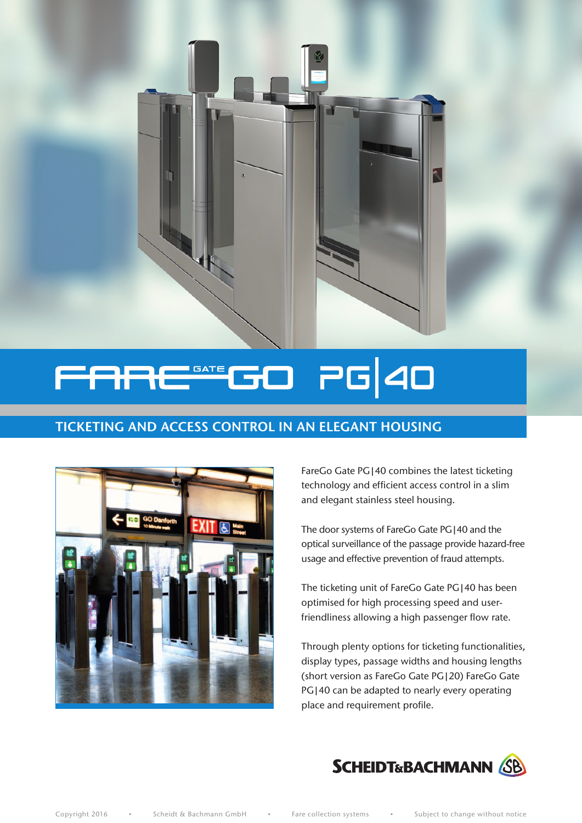

#### **PG** 40  $\Box$ **GATE** 51

# TICKETING AND ACCESS CONTROL IN AN ELEGANT HOUSING



FareGo Gate PG|40 combines the latest ticketing technology and efficient access control in a slim and elegant stainless steel housing.

The door systems of FareGo Gate PG|40 and the optical surveillance of the passage provide hazard-free usage and effective prevention of fraud attempts.

The ticketing unit of FareGo Gate PG|40 has been optimised for high processing speed and userfriendliness allowing a high passenger flow rate.

Through plenty options for ticketing functionalities, display types, passage widths and housing lengths (short version as FareGo Gate PG|20) FareGo Gate PG|40 can be adapted to nearly every operating place and requirement profile.